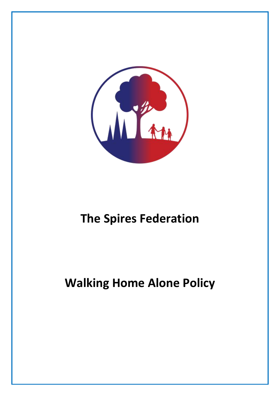

# **The Spires Federation**

# **Walking Home Alone Policy**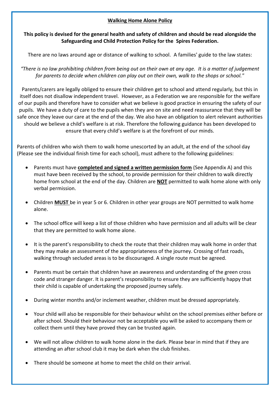### **Walking Home Alone Policy**

### **This policy is devised for the general health and safety of children and should be read alongside the Safeguarding and Child Protection Policy for the Spires Federation.**

There are no laws around age or distance of walking to school. A families' guide to the law states:

*"There is no law prohibiting children from being out on their own at any age. It is a matter of judgement for parents to decide when children can play out on their own, walk to the shops or school."*

Parents/carers are legally obliged to ensure their children get to school and attend regularly, but this in itself does not disallow independent travel. However, as a Federation we are responsible for the welfare of our pupils and therefore have to consider what we believe is good practice in ensuring the safety of our pupils. We have a duty of care to the pupils when they are on site and need reassurance that they will be safe once they leave our care at the end of the day. We also have an obligation to alert relevant authorities should we believe a child's welfare is at risk. Therefore the following guidance has been developed to ensure that every child's welfare is at the forefront of our minds.

Parents of children who wish them to walk home unescorted by an adult, at the end of the school day (Please see the individual finish time for each school), must adhere to the following guidelines:

- Parents must have **completed and signed a written permission form** (See Appendix A) and this must have been received by the school, to provide permission for their children to walk directly home from school at the end of the day. Children are **NOT** permitted to walk home alone with only verbal permission.
- Children **MUST** be in year 5 or 6. Children in other year groups are NOT permitted to walk home alone.
- The school office will keep a list of those children who have permission and all adults will be clear that they are permitted to walk home alone.
- It is the parent's responsibility to check the route that their children may walk home in order that they may make an assessment of the appropriateness of the journey. Crossing of fast roads, walking through secluded areas is to be discouraged. A single route must be agreed.
- Parents must be certain that children have an awareness and understanding of the green cross code and stranger danger. It is parent's responsibility to ensure they are sufficiently happy that their child is capable of undertaking the proposed journey safely.
- During winter months and/or inclement weather, children must be dressed appropriately.
- Your child will also be responsible for their behaviour whilst on the school premises either before or after school. Should their behaviour not be acceptable you will be asked to accompany them or collect them until they have proved they can be trusted again.
- We will not allow children to walk home alone in the dark. Please bear in mind that if they are attending an after school club it may be dark when the club finishes.
- There should be someone at home to meet the child on their arrival.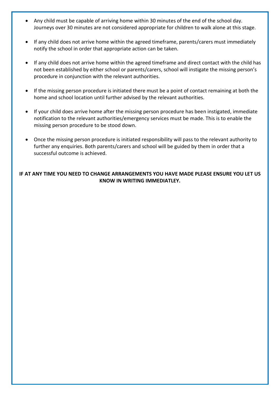- Any child must be capable of arriving home within 30 minutes of the end of the school day. Journeys over 30 minutes are not considered appropriate for children to walk alone at this stage.
- If any child does not arrive home within the agreed timeframe, parents/carers must immediately notify the school in order that appropriate action can be taken.
- If any child does not arrive home within the agreed timeframe and direct contact with the child has not been established by either school or parents/carers, school will instigate the missing person's procedure in conjunction with the relevant authorities.
- If the missing person procedure is initiated there must be a point of contact remaining at both the home and school location until further advised by the relevant authorities.
- If your child does arrive home after the missing person procedure has been instigated, immediate notification to the relevant authorities/emergency services must be made. This is to enable the missing person procedure to be stood down.
- Once the missing person procedure is initiated responsibility will pass to the relevant authority to further any enquiries. Both parents/carers and school will be guided by them in order that a successful outcome is achieved.

#### **IF AT ANY TIME YOU NEED TO CHANGE ARRANGEMENTS YOU HAVE MADE PLEASE ENSURE YOU LET US KNOW IN WRITING IMMEDIATLEY.**